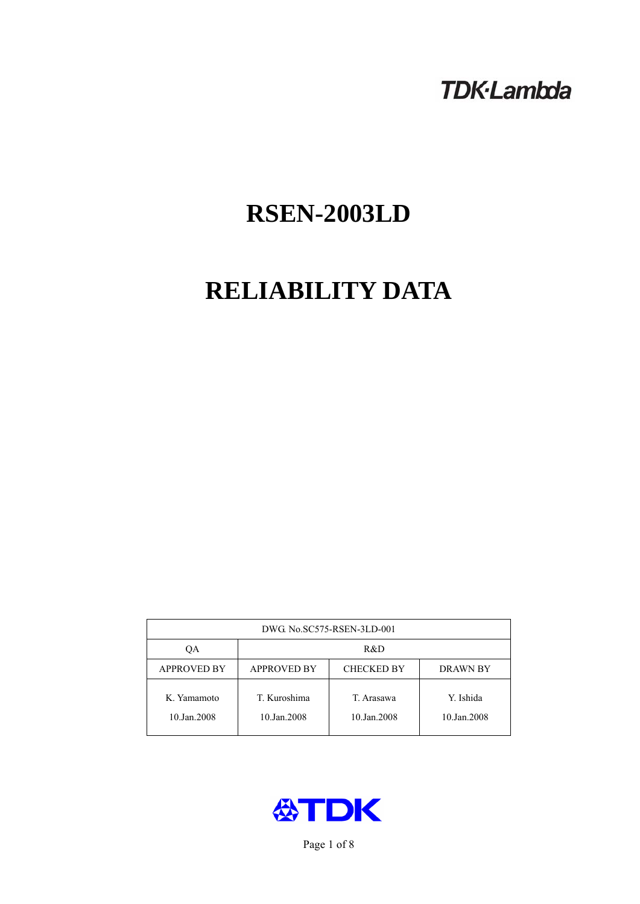## **TDK-Lambda**

# **RSEN-2003LD**

# **RELIABILITY DATA**

| DWG. No.SC575-RSEN-3LD-001 |                                                            |                           |                          |  |  |
|----------------------------|------------------------------------------------------------|---------------------------|--------------------------|--|--|
| ОA                         | R&D                                                        |                           |                          |  |  |
| <b>APPROVED BY</b>         | <b>APPROVED BY</b><br><b>CHECKED BY</b><br><b>DRAWN BY</b> |                           |                          |  |  |
| K. Yamamoto<br>10.Jan.2008 | T. Kuroshima<br>10.Jan.2008                                | T. Arasawa<br>10.Jan.2008 | Y. Ishida<br>10.Jan.2008 |  |  |



Page 1 of 8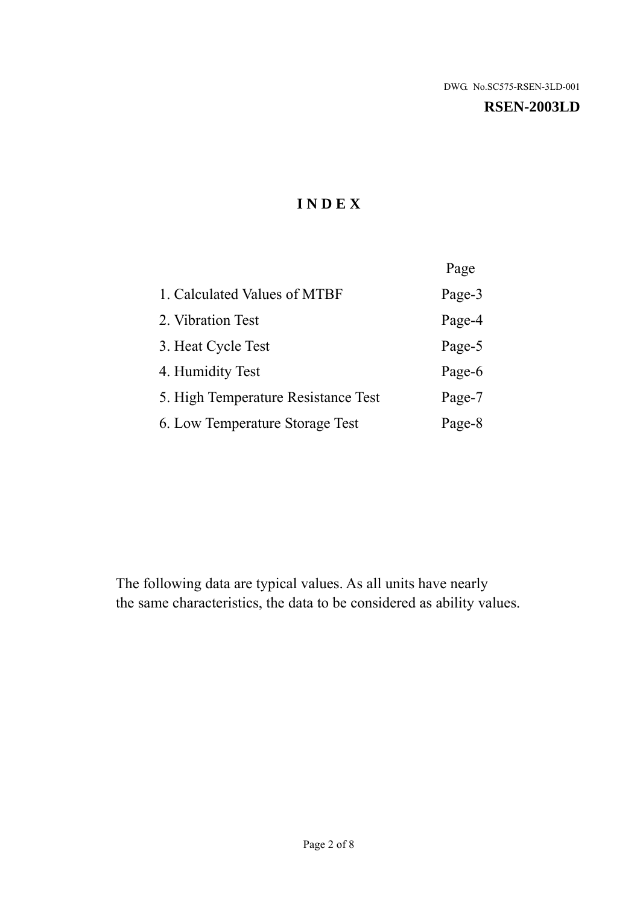#### **RSEN-2003LD**

## **I N D E X**

|                                     | Page   |
|-------------------------------------|--------|
| 1. Calculated Values of MTBF        | Page-3 |
| 2. Vibration Test                   | Page-4 |
| 3. Heat Cycle Test                  | Page-5 |
| 4. Humidity Test                    | Page-6 |
| 5. High Temperature Resistance Test | Page-7 |
| 6. Low Temperature Storage Test     | Page-8 |

The following data are typical values. As all units have nearly the same characteristics, the data to be considered as ability values.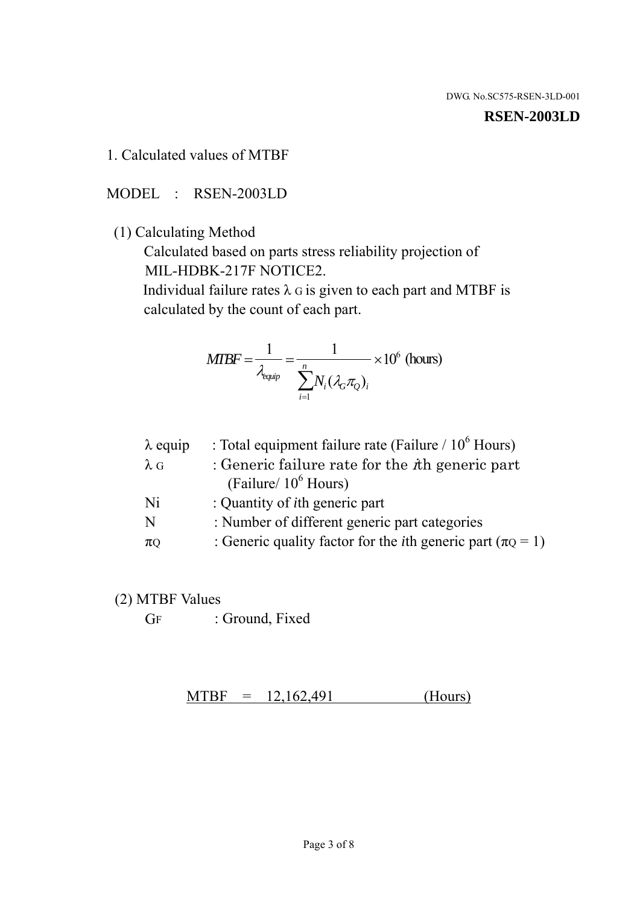#### **RSEN-2003LD**

1. Calculated values of MTBF

MODEL : RSEN-2003LD

(1) Calculating Method

 Calculated based on parts stress reliability projection of MIL-HDBK-217F NOTICE2.

Individual failure rates  $\lambda$  G is given to each part and MTBF is calculated by the count of each part.

$$
MIBF = \frac{1}{\lambda_{\text{equip}}} = \frac{1}{\sum_{i=1}^{n} N_i (\lambda_G \pi_Q)_i} \times 10^6 \text{ (hours)}
$$

| $\lambda$ equip | : Total equipment failure rate (Failure $/ 10^6$ Hours)                   |
|-----------------|---------------------------------------------------------------------------|
| $\lambda$ G     | : Generic failure rate for the $\hbar$ generic part                       |
|                 | (Failure/ $10^6$ Hours)                                                   |
| Ni              | : Quantity of <i>i</i> th generic part                                    |
| N               | : Number of different generic part categories                             |
| $\pi$ Q         | : Generic quality factor for the <i>i</i> th generic part ( $\pi Q = 1$ ) |

- (2) MTBF Values
	- GF : Ground, Fixed

 $MTBF = 12,162,491$  (Hours)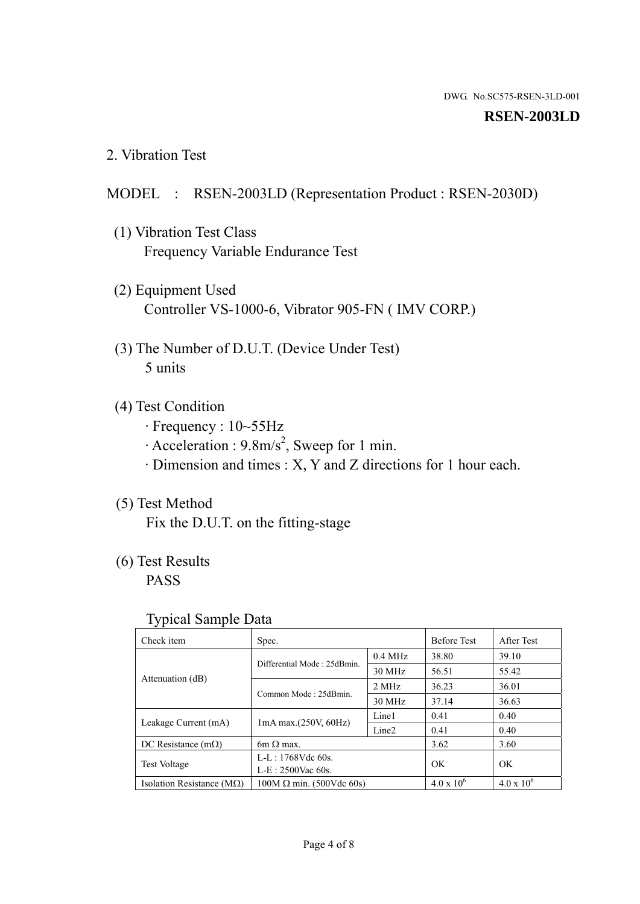#### **RSEN-2003LD**

2. Vibration Test

### MODEL : RSEN-2003LD (Representation Product : RSEN-2030D)

- (1) Vibration Test Class Frequency Variable Endurance Test
- (2) Equipment Used Controller VS-1000-6, Vibrator 905-FN ( IMV CORP.)
- (3) The Number of D.U.T. (Device Under Test) 5 units
- (4) Test Condition
	- · Frequency : 10~55Hz
	- $\cdot$  Acceleration : 9.8m/s<sup>2</sup>, Sweep for 1 min.
	- · Dimension and times : X, Y and Z directions for 1 hour each.

## (5) Test Method

Fix the D.U.T. on the fitting-stage

## (6) Test Results

PASS

#### Typical Sample Data

| . .                           |                                 |                   |                     |                     |
|-------------------------------|---------------------------------|-------------------|---------------------|---------------------|
| Check item                    | Spec.                           |                   | <b>Before Test</b>  | After Test          |
|                               | Differential Mode: 25dBmin.     | $0.4$ MHz         | 38.80               | 39.10               |
|                               |                                 | 30 MHz            | 56.51               | 55.42               |
| Attenuation (dB)              | Common Mode: 25dBmin.           | 2 MHz             | 36.23               | 36.01               |
|                               |                                 | 30 MHz            | 37.14               | 36.63               |
| Leakage Current (mA)          | $1mA$ max. $(250V, 60Hz)$       | Line1             | 0.41                | 0.40                |
|                               |                                 | Line <sub>2</sub> | 0.41                | 0.40                |
| DC Resistance $(m\Omega)$     | $6m \Omega$ max.                |                   | 3.62                | 3.60                |
| <b>Test Voltage</b>           | $L-L: 1768Vdc$ 60s.             |                   | OK                  | OK.                 |
|                               | $L-E$ : 2500Vac 60s.            |                   |                     |                     |
| Isolation Resistance ( $MQ$ ) | $100M \Omega$ min. (500Vdc 60s) |                   | $4.0 \times 10^{6}$ | $4.0 \times 10^{6}$ |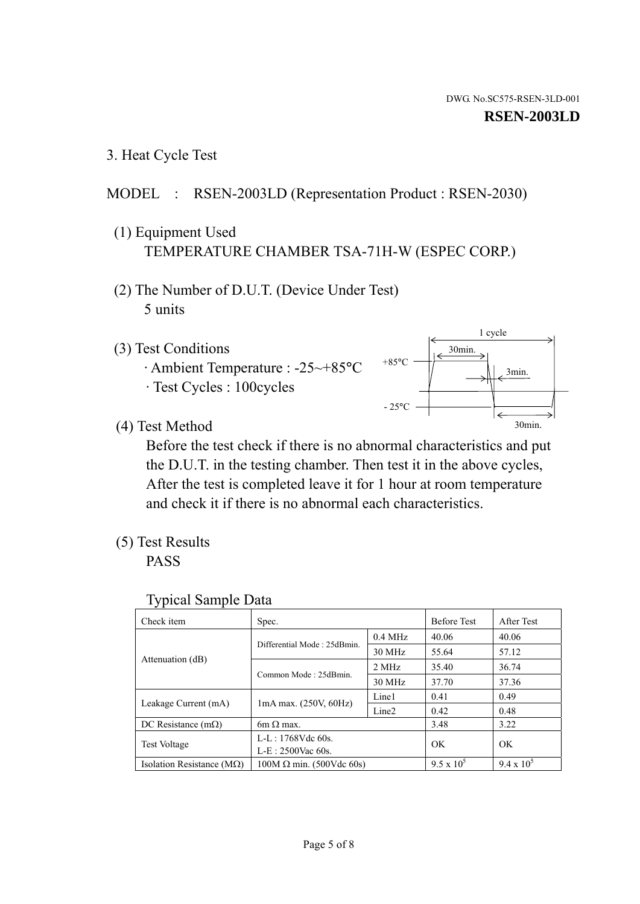1 cycle

30min.

3min.

30min.

3. Heat Cycle Test

## MODEL : RSEN-2003LD (Representation Product : RSEN-2030)

- (1) Equipment Used TEMPERATURE CHAMBER TSA-71H-W (ESPEC CORP.)
- (2) The Number of D.U.T. (Device Under Test) 5 units
- (3) Test Conditions
	- · Ambient Temperature : -25~+85°C · Test Cycles : 100cycles
- (4) Test Method

 Before the test check if there is no abnormal characteristics and put the D.U.T. in the testing chamber. Then test it in the above cycles, After the test is completed leave it for 1 hour at room temperature and check it if there is no abnormal each characteristics.

 $+85$ °C

 $-25^{\circ}$ C

(5) Test Results

PASS

| <b>Typical Sample Data</b> |  |  |
|----------------------------|--|--|
|----------------------------|--|--|

| Check item                         | Spec.                           |                   | <b>Before Test</b> | After Test        |
|------------------------------------|---------------------------------|-------------------|--------------------|-------------------|
|                                    |                                 | $0.4$ MHz         | 40.06              | 40.06             |
|                                    | Differential Mode: 25dBmin.     | 30 MHz            | 55.64              | 57.12             |
| Attenuation (dB)                   | Common Mode: 25dBmin.           | 2 MHz             | 35.40              | 36.74             |
|                                    |                                 | 30 MHz            | 37.70              | 37.36             |
| Leakage Current (mA)               | $1mA$ max. $(250V, 60Hz)$       | Line1             | 0.41               | 0.49              |
|                                    |                                 | Line <sub>2</sub> | 0.42               | 0.48              |
| DC Resistance $(m\Omega)$          | $6m \Omega$ max.                |                   | 3.48               | 3.22              |
| <b>Test Voltage</b>                | $L-L: 1768Vdc$ 60s.             |                   | OK                 | OK                |
|                                    | $L-E$ : 2500Vac 60s.            |                   |                    |                   |
| Isolation Resistance ( $M\Omega$ ) | $100M \Omega$ min. (500Vdc 60s) |                   | $9.5 \times 10^5$  | $9.4 \times 10^5$ |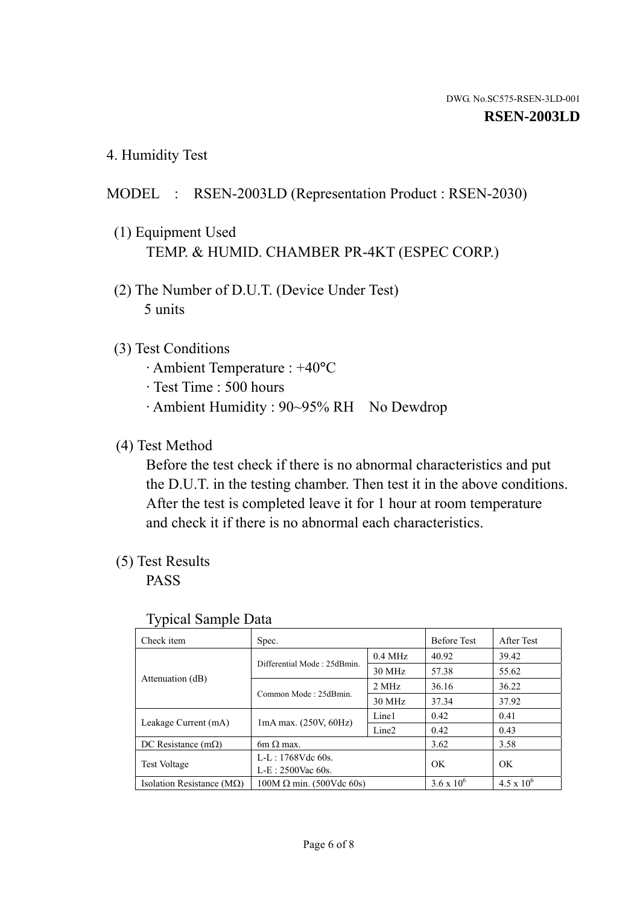4. Humidity Test

## MODEL : RSEN-2003LD (Representation Product : RSEN-2030)

- (1) Equipment Used TEMP. & HUMID. CHAMBER PR-4KT (ESPEC CORP.)
- (2) The Number of D.U.T. (Device Under Test) 5 units

## (3) Test Conditions

- · Ambient Temperature : +40°C
- · Test Time : 500 hours
- · Ambient Humidity : 90~95% RH No Dewdrop

## (4) Test Method

 Before the test check if there is no abnormal characteristics and put the D.U.T. in the testing chamber. Then test it in the above conditions. After the test is completed leave it for 1 hour at room temperature and check it if there is no abnormal each characteristics.

## (5) Test Results

PASS

| ╯┸                            |                                 |                   |                     |                     |
|-------------------------------|---------------------------------|-------------------|---------------------|---------------------|
| Check item                    | Spec.                           |                   | <b>Before Test</b>  | After Test          |
|                               | Differential Mode: 25dBmin.     | $0.4$ MHz         | 40.92               | 39.42               |
|                               |                                 | 30 MHz            | 57.38               | 55.62               |
| Attenuation (dB)              | Common Mode: 25dBmin.           | 2 MHz             | 36.16               | 36.22               |
|                               |                                 | 30 MHz            | 37.34               | 37.92               |
| Leakage Current (mA)          | $1mA$ max. $(250V, 60Hz)$       | Line1             | 0.42                | 0.41                |
|                               |                                 | Line <sub>2</sub> | 0.42                | 0.43                |
| DC Resistance $(m\Omega)$     | $6m \Omega$ max.                |                   | 3.62                | 3.58                |
| <b>Test Voltage</b>           | L-L: 1768Vdc 60s.               |                   | OK                  | OK                  |
|                               | $L-E: 2500$ Vac 60s.            |                   |                     |                     |
| Isolation Resistance ( $MQ$ ) | $100M \Omega$ min. (500Vdc 60s) |                   | $3.6 \times 10^{6}$ | $4.5 \times 10^{6}$ |

#### Typical Sample Data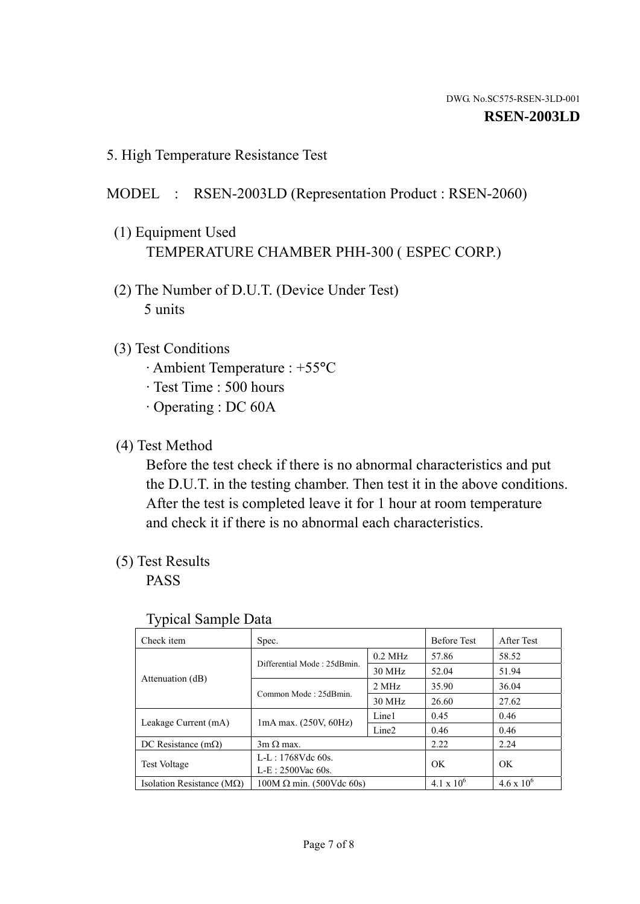5. High Temperature Resistance Test

## MODEL : RSEN-2003LD (Representation Product : RSEN-2060)

- (1) Equipment Used TEMPERATURE CHAMBER PHH-300 ( ESPEC CORP.)
- (2) The Number of D.U.T. (Device Under Test) 5 units
- (3) Test Conditions
	- · Ambient Temperature : +55°C
	- · Test Time : 500 hours
	- · Operating : DC 60A
- (4) Test Method

 Before the test check if there is no abnormal characteristics and put the D.U.T. in the testing chamber. Then test it in the above conditions. After the test is completed leave it for 1 hour at room temperature and check it if there is no abnormal each characteristics.

(5) Test Results

PASS

| J 1                                               |                                 |           |                     |                     |
|---------------------------------------------------|---------------------------------|-----------|---------------------|---------------------|
| Check item                                        | Spec.                           |           | <b>Before Test</b>  | After Test          |
|                                                   | Differential Mode: 25dBmin.     | $0.2$ MHz | 57.86               | 58.52               |
|                                                   |                                 | 30 MHz    | 52.04               | 51.94               |
| Attenuation (dB)                                  | Common Mode: 25dBmin.           | 2 MHz     | 35.90               | 36.04               |
|                                                   |                                 | 30 MHz    | 26.60               | 27.62               |
| $1mA$ max. $(250V, 60Hz)$<br>Leakage Current (mA) |                                 | Line1     | 0.45                | 0.46                |
|                                                   | Line <sub>2</sub>               | 0.46      | 0.46                |                     |
| DC Resistance $(m\Omega)$                         | $3m \Omega$ max.                |           | 2.22                | 2.24                |
| <b>Test Voltage</b>                               | $L-L: 1768Vdc$ 60s.             |           | OK                  | OK                  |
|                                                   | $L-E: 2500$ Vac 60s.            |           |                     |                     |
| Isolation Resistance ( $M\Omega$ )                | $100M \Omega$ min. (500Vdc 60s) |           | $4.1 \times 10^{6}$ | $4.6 \times 10^{6}$ |

#### Typical Sample Data